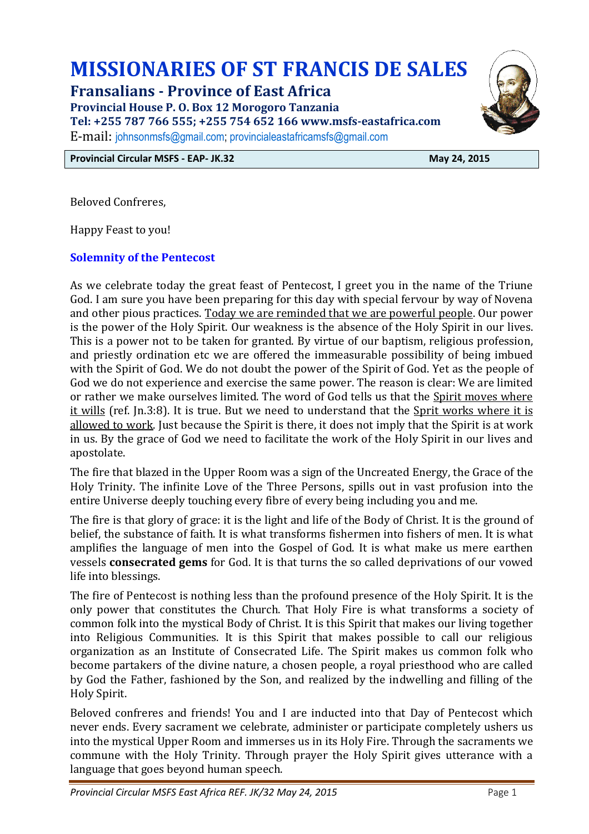# **MISSIONARIES OF ST FRANCIS DE SALES**

**Fransalians - Province of East Africa** 

**Provincial House P. O. Box 12 Morogoro Tanzania** 

**Tel: +255 787 766 555; +255 754 652 166 www.msfs-eastafrica.com** 

E-mail: johnsonmsfs@gmail.com; provincialeastafricamsfs@gmail.com

**Provincial Circular MSFS - EAP- JK.32** May 24, 2015

Beloved Confreres,

Happy Feast to you!

## **Solemnity of the Pentecost**

As we celebrate today the great feast of Pentecost, I greet you in the name of the Triune God. I am sure you have been preparing for this day with special fervour by way of Novena and other pious practices. Today we are reminded that we are powerful people. Our power is the power of the Holy Spirit. Our weakness is the absence of the Holy Spirit in our lives. This is a power not to be taken for granted. By virtue of our baptism, religious profession, and priestly ordination etc we are offered the immeasurable possibility of being imbued with the Spirit of God. We do not doubt the power of the Spirit of God. Yet as the people of God we do not experience and exercise the same power. The reason is clear: We are limited or rather we make ourselves limited. The word of God tells us that the Spirit moves where it wills (ref. Jn.3:8). It is true. But we need to understand that the Sprit works where it is allowed to work. Just because the Spirit is there, it does not imply that the Spirit is at work in us. By the grace of God we need to facilitate the work of the Holy Spirit in our lives and apostolate.

The fire that blazed in the Upper Room was a sign of the Uncreated Energy, the Grace of the Holy Trinity. The infinite Love of the Three Persons, spills out in vast profusion into the entire Universe deeply touching every fibre of every being including you and me.

The fire is that glory of grace: it is the light and life of the Body of Christ. It is the ground of belief, the substance of faith. It is what transforms fishermen into fishers of men. It is what amplifies the language of men into the Gospel of God. It is what make us mere earthen vessels **consecrated gems** for God. It is that turns the so called deprivations of our vowed life into blessings.

The fire of Pentecost is nothing less than the profound presence of the Holy Spirit. It is the only power that constitutes the Church. That Holy Fire is what transforms a society of common folk into the mystical Body of Christ. It is this Spirit that makes our living together into Religious Communities. It is this Spirit that makes possible to call our religious organization as an Institute of Consecrated Life. The Spirit makes us common folk who become partakers of the divine nature, a chosen people, a royal priesthood who are called by God the Father, fashioned by the Son, and realized by the indwelling and filling of the Holy Spirit.

Beloved confreres and friends! You and I are inducted into that Day of Pentecost which never ends. Every sacrament we celebrate, administer or participate completely ushers us into the mystical Upper Room and immerses us in its Holy Fire. Through the sacraments we commune with the Holy Trinity. Through prayer the Holy Spirit gives utterance with a language that goes beyond human speech.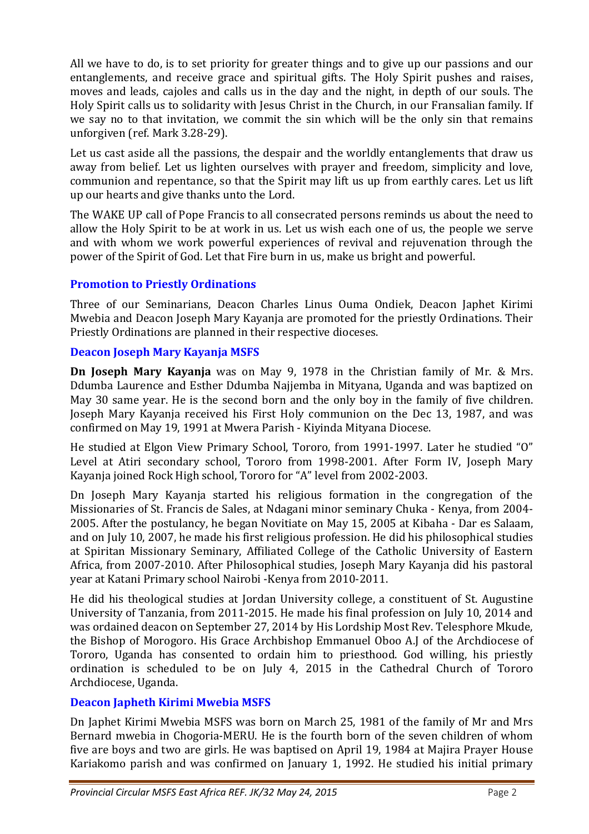All we have to do, is to set priority for greater things and to give up our passions and our entanglements, and receive grace and spiritual gifts. The Holy Spirit pushes and raises, moves and leads, cajoles and calls us in the day and the night, in depth of our souls. The Holy Spirit calls us to solidarity with Jesus Christ in the Church, in our Fransalian family. If we say no to that invitation, we commit the sin which will be the only sin that remains unforgiven (ref. Mark 3.28-29).

Let us cast aside all the passions, the despair and the worldly entanglements that draw us away from belief. Let us lighten ourselves with prayer and freedom, simplicity and love, communion and repentance, so that the Spirit may lift us up from earthly cares. Let us lift up our hearts and give thanks unto the Lord.

The WAKE UP call of Pope Francis to all consecrated persons reminds us about the need to allow the Holy Spirit to be at work in us. Let us wish each one of us, the people we serve and with whom we work powerful experiences of revival and rejuvenation through the power of the Spirit of God. Let that Fire burn in us, make us bright and powerful.

## **Promotion to Priestly Ordinations**

Three of our Seminarians, Deacon Charles Linus Ouma Ondiek, Deacon Japhet Kirimi Mwebia and Deacon Joseph Mary Kayanja are promoted for the priestly Ordinations. Their Priestly Ordinations are planned in their respective dioceses.

## **Deacon Joseph Mary Kayanja MSFS**

**Dn Joseph Mary Kayanja** was on May 9, 1978 in the Christian family of Mr. & Mrs. Ddumba Laurence and Esther Ddumba Najjemba in Mityana, Uganda and was baptized on May 30 same year. He is the second born and the only boy in the family of five children. Joseph Mary Kayanja received his First Holy communion on the Dec 13, 1987, and was confirmed on May 19, 1991 at Mwera Parish - Kiyinda Mityana Diocese.

He studied at Elgon View Primary School, Tororo, from 1991-1997. Later he studied "O" Level at Atiri secondary school, Tororo from 1998-2001. After Form IV, Joseph Mary Kayanja joined Rock High school, Tororo for "A" level from 2002-2003.

Dn Joseph Mary Kayanja started his religious formation in the congregation of the Missionaries of St. Francis de Sales, at Ndagani minor seminary Chuka - Kenya, from 2004- 2005. After the postulancy, he began Novitiate on May 15, 2005 at Kibaha - Dar es Salaam, and on July 10, 2007, he made his first religious profession. He did his philosophical studies at Spiritan Missionary Seminary, Affiliated College of the Catholic University of Eastern Africa, from 2007-2010. After Philosophical studies, Joseph Mary Kayanja did his pastoral year at Katani Primary school Nairobi -Kenya from 2010-2011.

He did his theological studies at Jordan University college, a constituent of St. Augustine University of Tanzania, from 2011-2015. He made his final profession on July 10, 2014 and was ordained deacon on September 27, 2014 by His Lordship Most Rev. Telesphore Mkude, the Bishop of Morogoro. His Grace Archbishop Emmanuel Oboo A.J of the Archdiocese of Tororo, Uganda has consented to ordain him to priesthood. God willing, his priestly ordination is scheduled to be on July 4, 2015 in the Cathedral Church of Tororo Archdiocese, Uganda.

## **Deacon Japheth Kirimi Mwebia MSFS**

Dn Japhet Kirimi Mwebia MSFS was born on March 25, 1981 of the family of Mr and Mrs Bernard mwebia in Chogoria-MERU. He is the fourth born of the seven children of whom five are boys and two are girls. He was baptised on April 19, 1984 at Majira Prayer House Kariakomo parish and was confirmed on January 1, 1992. He studied his initial primary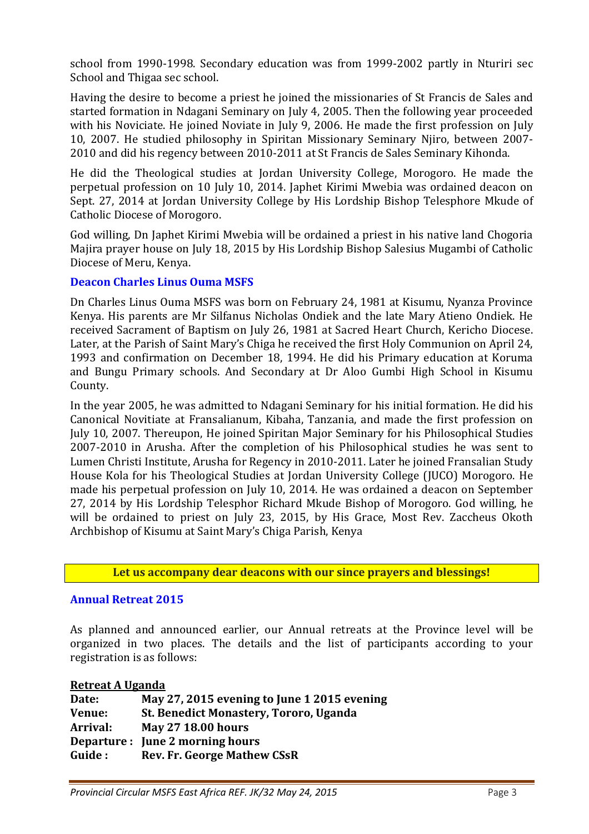school from 1990-1998. Secondary education was from 1999-2002 partly in Nturiri sec School and Thigaa sec school.

Having the desire to become a priest he joined the missionaries of St Francis de Sales and started formation in Ndagani Seminary on July 4, 2005. Then the following year proceeded with his Noviciate. He joined Noviate in July 9, 2006. He made the first profession on July 10, 2007. He studied philosophy in Spiritan Missionary Seminary Njiro, between 2007- 2010 and did his regency between 2010-2011 at St Francis de Sales Seminary Kihonda.

He did the Theological studies at Jordan University College, Morogoro. He made the perpetual profession on 10 July 10, 2014. Japhet Kirimi Mwebia was ordained deacon on Sept. 27, 2014 at Jordan University College by His Lordship Bishop Telesphore Mkude of Catholic Diocese of Morogoro.

God willing, Dn Japhet Kirimi Mwebia will be ordained a priest in his native land Chogoria Majira prayer house on July 18, 2015 by His Lordship Bishop Salesius Mugambi of Catholic Diocese of Meru, Kenya.

## **Deacon Charles Linus Ouma MSFS**

Dn Charles Linus Ouma MSFS was born on February 24, 1981 at Kisumu, Nyanza Province Kenya. His parents are Mr Silfanus Nicholas Ondiek and the late Mary Atieno Ondiek. He received Sacrament of Baptism on July 26, 1981 at Sacred Heart Church, Kericho Diocese. Later, at the Parish of Saint Mary's Chiga he received the first Holy Communion on April 24, 1993 and confirmation on December 18, 1994. He did his Primary education at Koruma and Bungu Primary schools. And Secondary at Dr Aloo Gumbi High School in Kisumu County.

In the year 2005, he was admitted to Ndagani Seminary for his initial formation. He did his Canonical Novitiate at Fransalianum, Kibaha, Tanzania, and made the first profession on July 10, 2007. Thereupon, He joined Spiritan Major Seminary for his Philosophical Studies 2007-2010 in Arusha. After the completion of his Philosophical studies he was sent to Lumen Christi Institute, Arusha for Regency in 2010-2011. Later he joined Fransalian Study House Kola for his Theological Studies at Jordan University College (JUCO) Morogoro. He made his perpetual profession on July 10, 2014. He was ordained a deacon on September 27, 2014 by His Lordship Telesphor Richard Mkude Bishop of Morogoro. God willing, he will be ordained to priest on July 23, 2015, by His Grace, Most Rev. Zaccheus Okoth Archbishop of Kisumu at Saint Mary's Chiga Parish, Kenya

**Let us accompany dear deacons with our since prayers and blessings!** 

## **Annual Retreat 2015**

As planned and announced earlier, our Annual retreats at the Province level will be organized in two places. The details and the list of participants according to your registration is as follows:

| <b>Retreat A Uganda</b> |                                             |
|-------------------------|---------------------------------------------|
| Date:                   | May 27, 2015 evening to June 1 2015 evening |
| Venue:                  | St. Benedict Monastery, Tororo, Uganda      |
| Arrival:                | <b>May 27 18.00 hours</b>                   |
|                         | Departure : June 2 morning hours            |
| Guide:                  | <b>Rev. Fr. George Mathew CSsR</b>          |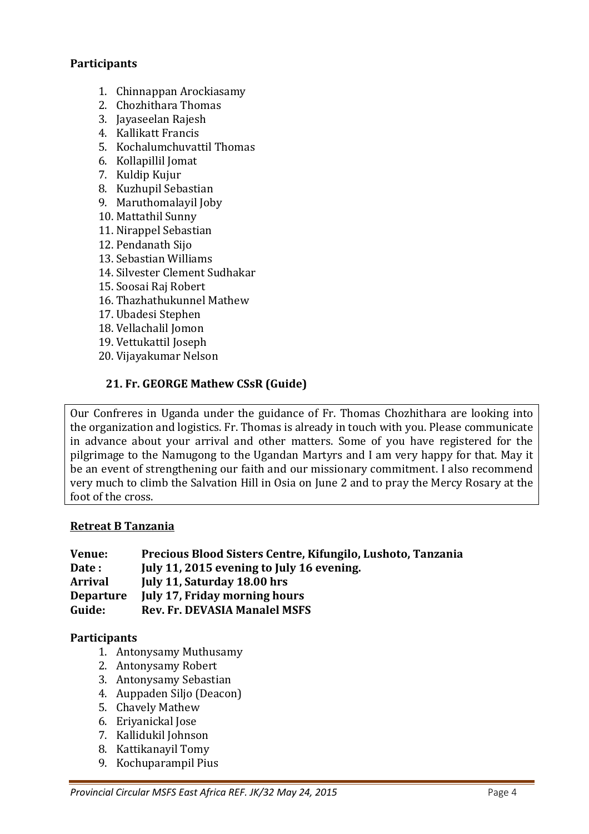## **Participants**

- 1. Chinnappan Arockiasamy
- 2. Chozhithara Thomas
- 3. Jayaseelan Rajesh
- 4. Kallikatt Francis
- 5. Kochalumchuvattil Thomas
- 6. Kollapillil Jomat
- 7. Kuldip Kujur
- 8. Kuzhupil Sebastian
- 9. Maruthomalayil Joby
- 10. Mattathil Sunny
- 11. Nirappel Sebastian
- 12. Pendanath Sijo
- 13. Sebastian Williams
- 14. Silvester Clement Sudhakar
- 15. Soosai Raj Robert
- 16. Thazhathukunnel Mathew
- 17. Ubadesi Stephen
- 18. Vellachalil Jomon
- 19. Vettukattil Joseph
- 20. Vijayakumar Nelson

## **21. Fr. GEORGE Mathew CSsR (Guide)**

Our Confreres in Uganda under the guidance of Fr. Thomas Chozhithara are looking into the organization and logistics. Fr. Thomas is already in touch with you. Please communicate in advance about your arrival and other matters. Some of you have registered for the pilgrimage to the Namugong to the Ugandan Martyrs and I am very happy for that. May it be an event of strengthening our faith and our missionary commitment. I also recommend very much to climb the Salvation Hill in Osia on June 2 and to pray the Mercy Rosary at the foot of the cross.

#### **Retreat B Tanzania**

| Venue:           | Precious Blood Sisters Centre, Kifungilo, Lushoto, Tanzania |
|------------------|-------------------------------------------------------------|
| Date:            | July 11, 2015 evening to July 16 evening.                   |
| <b>Arrival</b>   | July 11, Saturday 18.00 hrs                                 |
| <b>Departure</b> | <b>July 17, Friday morning hours</b>                        |
| Guide:           | <b>Rev. Fr. DEVASIA Manalel MSFS</b>                        |

## **Participants**

- 1. Antonysamy Muthusamy
- 2. Antonysamy Robert
- 3. Antonysamy Sebastian
- 4. Auppaden Siljo (Deacon)
- 5. Chavely Mathew
- 6. Eriyanickal Jose
- 7. Kallidukil Johnson
- 8. Kattikanayil Tomy
- 9. Kochuparampil Pius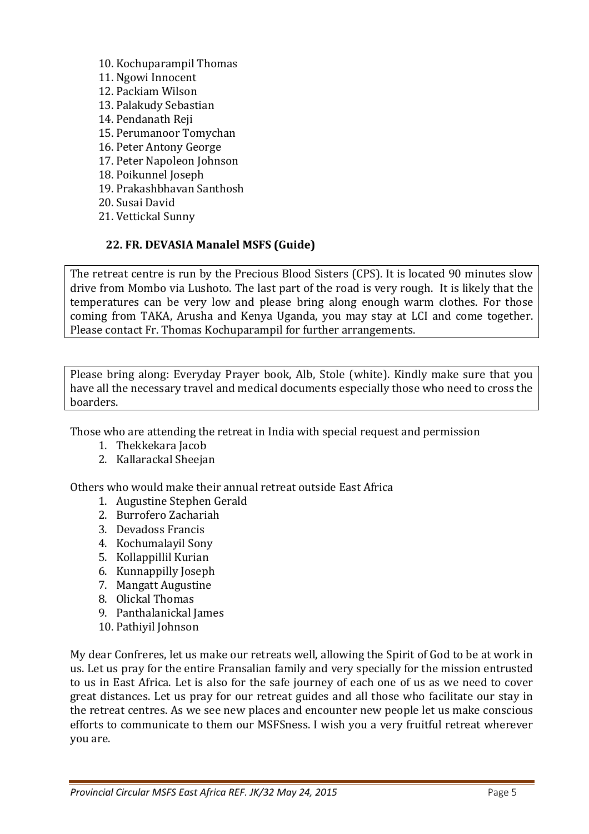10. Kochuparampil Thomas 11. Ngowi Innocent 12. Packiam Wilson 13. Palakudy Sebastian 14. Pendanath Reji 15. Perumanoor Tomychan 16. Peter Antony George 17. Peter Napoleon Johnson 18. Poikunnel Joseph 19. Prakashbhavan Santhosh 20. Susai David 21. Vettickal Sunny

## **22. FR. DEVASIA Manalel MSFS (Guide)**

The retreat centre is run by the Precious Blood Sisters (CPS). It is located 90 minutes slow drive from Mombo via Lushoto. The last part of the road is very rough. It is likely that the temperatures can be very low and please bring along enough warm clothes. For those coming from TAKA, Arusha and Kenya Uganda, you may stay at LCI and come together. Please contact Fr. Thomas Kochuparampil for further arrangements.

Please bring along: Everyday Prayer book, Alb, Stole (white). Kindly make sure that you have all the necessary travel and medical documents especially those who need to cross the boarders.

Those who are attending the retreat in India with special request and permission

- 1. Thekkekara Jacob
- 2. Kallarackal Sheejan

Others who would make their annual retreat outside East Africa

- 1. Augustine Stephen Gerald
- 2. Burrofero Zachariah
- 3. Devadoss Francis
- 4. Kochumalayil Sony
- 5. Kollappillil Kurian
- 6. Kunnappilly Joseph
- 7. Mangatt Augustine
- 8. Olickal Thomas
- 9. Panthalanickal James
- 10. Pathiyil Johnson

My dear Confreres, let us make our retreats well, allowing the Spirit of God to be at work in us. Let us pray for the entire Fransalian family and very specially for the mission entrusted to us in East Africa. Let is also for the safe journey of each one of us as we need to cover great distances. Let us pray for our retreat guides and all those who facilitate our stay in the retreat centres. As we see new places and encounter new people let us make conscious efforts to communicate to them our MSFSness. I wish you a very fruitful retreat wherever you are.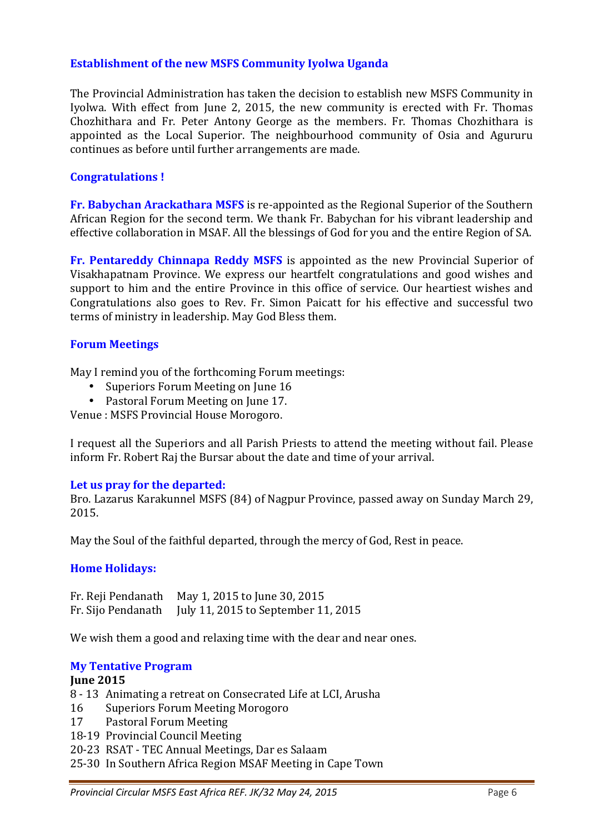## **Establishment of the new MSFS Community Iyolwa Uganda**

The Provincial Administration has taken the decision to establish new MSFS Community in Iyolwa. With effect from June 2, 2015, the new community is erected with Fr. Thomas Chozhithara and Fr. Peter Antony George as the members. Fr. Thomas Chozhithara is appointed as the Local Superior. The neighbourhood community of Osia and Agururu continues as before until further arrangements are made.

## **Congratulations !**

**Fr. Babychan Arackathara MSFS** is re-appointed as the Regional Superior of the Southern African Region for the second term. We thank Fr. Babychan for his vibrant leadership and effective collaboration in MSAF. All the blessings of God for you and the entire Region of SA.

**Fr. Pentareddy Chinnapa Reddy MSFS** is appointed as the new Provincial Superior of Visakhapatnam Province. We express our heartfelt congratulations and good wishes and support to him and the entire Province in this office of service. Our heartiest wishes and Congratulations also goes to Rev. Fr. Simon Paicatt for his effective and successful two terms of ministry in leadership. May God Bless them.

## **Forum Meetings**

May I remind you of the forthcoming Forum meetings:

- Superiors Forum Meeting on June 16
- Pastoral Forum Meeting on June 17.

Venue : MSFS Provincial House Morogoro.

I request all the Superiors and all Parish Priests to attend the meeting without fail. Please inform Fr. Robert Raj the Bursar about the date and time of your arrival.

## **Let us pray for the departed:**

Bro. Lazarus Karakunnel MSFS (84) of Nagpur Province, passed away on Sunday March 29, 2015.

May the Soul of the faithful departed, through the mercy of God, Rest in peace.

## **Home Holidays:**

Fr. Reji Pendanath May 1, 2015 to June 30, 2015 Fr. Sijo Pendanath July 11, 2015 to September 11, 2015

We wish them a good and relaxing time with the dear and near ones.

#### **My Tentative Program**

## **June 2015**

- 8 13 Animating a retreat on Consecrated Life at LCI, Arusha
- 16 Superiors Forum Meeting Morogoro
- 17 Pastoral Forum Meeting
- 18-19 Provincial Council Meeting
- 20-23 RSAT TEC Annual Meetings, Dar es Salaam
- 25-30 In Southern Africa Region MSAF Meeting in Cape Town